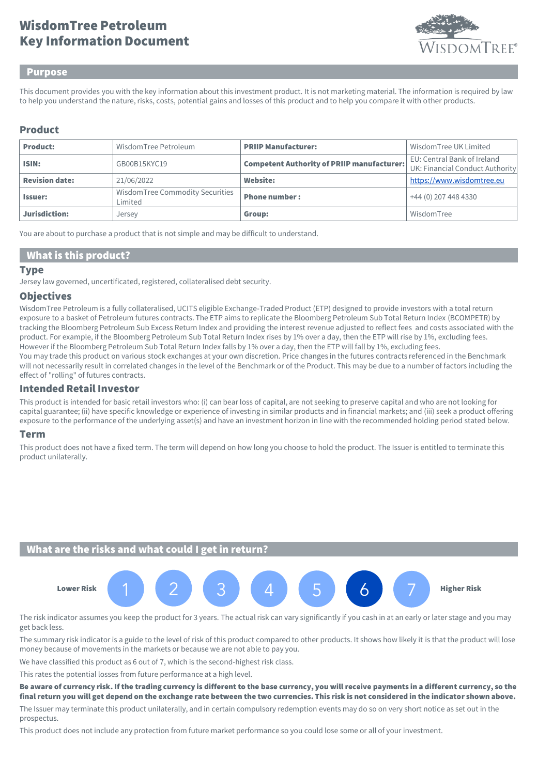# Key Information Document WisdomTree Petroleum



#### Purpose

This document provides you with the key information about this investment product. It is not marketing material. The information is required by law to help you understand the nature, risks, costs, potential gains and losses of this product and to help you compare it with other products.

## Product

| <b>Product:</b>       | WisdomTree Petroleum                       | <b>PRIIP Manufacturer:</b>                        | Wisdom Tree UK Limited                                         |
|-----------------------|--------------------------------------------|---------------------------------------------------|----------------------------------------------------------------|
| ISIN:                 | GB00B15KYC19                               | <b>Competent Authority of PRIIP manufacturer:</b> | EU: Central Bank of Ireland<br>UK: Financial Conduct Authority |
| <b>Revision date:</b> | 21/06/2022                                 | Website:                                          | https://www.wisdomtree.eu                                      |
| <b>Issuer:</b>        | WisdomTree Commodity Securities<br>Limited | <b>Phone number:</b>                              | +44 (0) 207 448 4330                                           |
| Jurisdiction:         | Jersey                                     | Group:                                            | WisdomTree                                                     |

You are about to purchase a product that is not simple and may be difficult to understand.

### What is this product?

#### **Type**

Jersey law governed, uncertificated, registered, collateralised debt security.

#### **Objectives**

WisdomTree Petroleum is a fully collateralised, UCITS eligible Exchange-Traded Product (ETP) designed to provide investors with a total return exposure to a basket of Petroleum futures contracts. The ETP aims to replicate the Bloomberg Petroleum Sub Total Return Index (BCOMPETR) by tracking the Bloomberg Petroleum Sub Excess Return Index and providing the interest revenue adjusted to reflect fees and costs associated with the product. For example, if the Bloomberg Petroleum Sub Total Return Index rises by 1% over a day, then the ETP will rise by 1%, excluding fees. However if the Bloomberg Petroleum Sub Total Return Index falls by 1% over a day, then the ETP will fall by 1%, excluding fees. You may trade this product on various stock exchanges at your own discretion. Price changes in the futures contracts referenced in the Benchmark will not necessarily result in correlated changes in the level of the Benchmark or of the Product. This may be due to a number of factors including the effect of "rolling" of futures contracts.

#### Intended Retail Investor

This product is intended for basic retail investors who: (i) can bear loss of capital, are not seeking to preserve capital and who are not looking for capital guarantee; (ii) have specific knowledge or experience of investing in similar products and in financial markets; and (iii) seek a product offering exposure to the performance of the underlying asset(s) and have an investment horizon in line with the recommended holding period stated below.

#### Term

This product does not have a fixed term. The term will depend on how long you choose to hold the product. The Issuer is entitled to terminate this product unilaterally.

### What are the risks and what could I get in return?



The risk indicator assumes you keep the product for 3 years. The actual risk can vary significantly if you cash in at an early or later stage and you may get back less.

The summary risk indicator is a guide to the level of risk of this product compared to other products. It shows how likely it is that the product will lose money because of movements in the markets or because we are not able to pay you.

We have classified this product as 6 out of 7, which is the second-highest risk class.

This rates the potential losses from future performance at a high level.

Be aware of currency risk. If the trading currency is different to the base currency, you will receive payments in a different currency, so the final return you will get depend on the exchange rate between the two currencies. This risk is not considered in the indicator shown above.

The Issuer may terminate this product unilaterally, and in certain compulsory redemption events may do so on very short notice as set out in the prospectus.

This product does not include any protection from future market performance so you could lose some or all of your investment.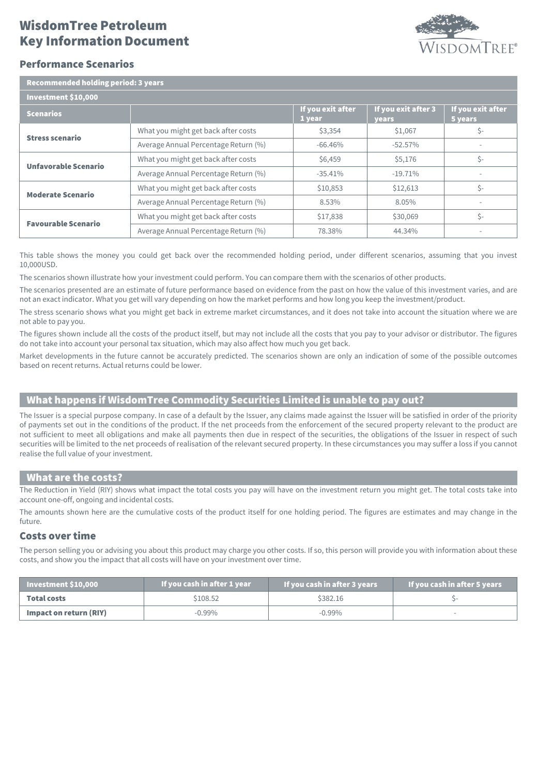# Key Information Document WisdomTree Petroleum



## Performance Scenarios

| Recommended holding period: 3 years |  |  |
|-------------------------------------|--|--|
|                                     |  |  |

| .                          |                                      |                             |                              |                              |
|----------------------------|--------------------------------------|-----------------------------|------------------------------|------------------------------|
| Investment \$10,000        |                                      |                             |                              |                              |
| <b>Scenarios</b>           |                                      | If you exit after<br>1 year | If you exit after 3<br>years | If you exit after<br>5 years |
| <b>Stress scenario</b>     | What you might get back after costs  | \$3,354                     | \$1,067                      | \$-                          |
|                            | Average Annual Percentage Return (%) | $-66.46%$                   | $-52.57\%$                   |                              |
| Unfavorable Scenario       | What you might get back after costs  | \$6,459                     | \$5,176                      | \$-                          |
|                            | Average Annual Percentage Return (%) | $-35.41\%$                  | $-19.71%$                    |                              |
| <b>Moderate Scenario</b>   | What you might get back after costs  | \$10,853                    | \$12,613                     | Ś-                           |
|                            | Average Annual Percentage Return (%) | 8.53%                       | 8.05%                        |                              |
| <b>Favourable Scenario</b> | What you might get back after costs  | \$17,838                    | \$30,069                     | Ś-                           |
|                            | Average Annual Percentage Return (%) | 78.38%                      | 44.34%                       |                              |

This table shows the money you could get back over the recommended holding period, under different scenarios, assuming that you invest 10,000USD.

The scenarios shown illustrate how your investment could perform. You can compare them with the scenarios of other products.

The scenarios presented are an estimate of future performance based on evidence from the past on how the value of this investment varies, and are not an exact indicator. What you get will vary depending on how the market performs and how long you keep the investment/product.

The stress scenario shows what you might get back in extreme market circumstances, and it does not take into account the situation where we are not able to pay you.

The figures shown include all the costs of the product itself, but may not include all the costs that you pay to your advisor or distributor. The figures do not take into account your personal tax situation, which may also affect how much you get back.

Market developments in the future cannot be accurately predicted. The scenarios shown are only an indication of some of the possible outcomes based on recent returns. Actual returns could be lower.

## What happens if WisdomTree Commodity Securities Limited is unable to pay out?

The Issuer is a special purpose company. In case of a default by the Issuer, any claims made against the Issuer will be satisfied in order of the priority of payments set out in the conditions of the product. If the net proceeds from the enforcement of the secured property relevant to the product are not sufficient to meet all obligations and make all payments then due in respect of the securities, the obligations of the Issuer in respect of such securities will be limited to the net proceeds of realisation of the relevant secured property. In these circumstances you may suffer a loss if you cannot realise the full value of your investment.

#### What are the costs?

The Reduction in Yield (RIY) shows what impact the total costs you pay will have on the investment return you might get. The total costs take into account one-off, ongoing and incidental costs.

The amounts shown here are the cumulative costs of the product itself for one holding period. The figures are estimates and may change in the future.

#### Costs over time

The person selling you or advising you about this product may charge you other costs. If so, this person will provide you with information about these costs, and show you the impact that all costs will have on your investment over time.

| Investment $$10,000$   | If you cash in after 1 year | If you cash in after 3 years | If you cash in after 5 years |
|------------------------|-----------------------------|------------------------------|------------------------------|
| Total costs            | \$108.52                    | \$382.16                     |                              |
| Impact on return (RIY) | $-0.99\%$                   | $-0.99\%$                    |                              |